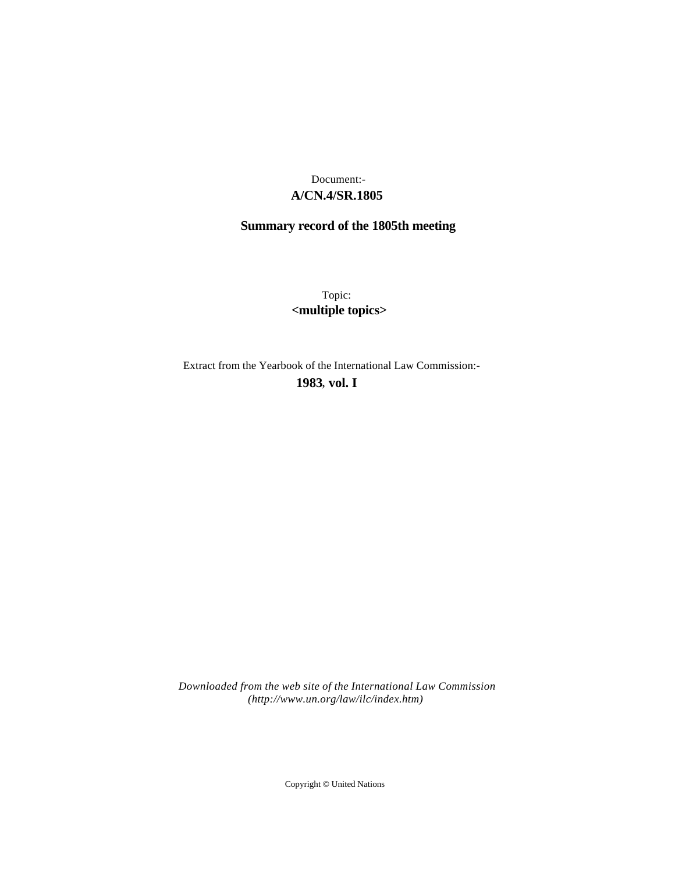# **A/CN.4/SR.1805** Document:-

# **Summary record of the 1805th meeting**

Topic: **<multiple topics>**

Extract from the Yearbook of the International Law Commission:-

**1983** , **vol. I**

*Downloaded from the web site of the International Law Commission (http://www.un.org/law/ilc/index.htm)*

Copyright © United Nations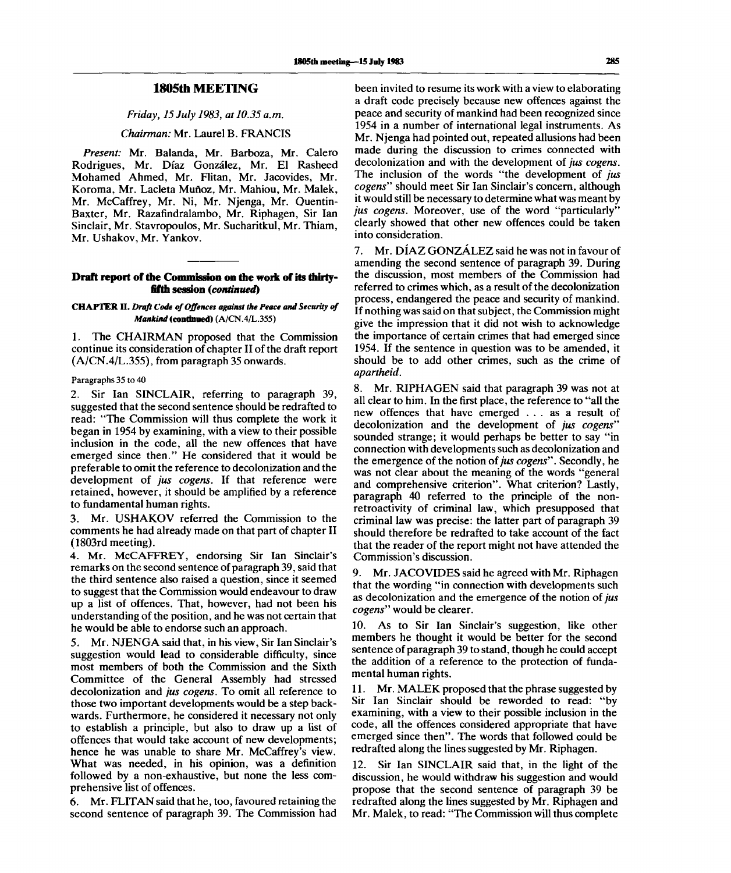# **1805th MEETING**

*Friday, 15 July 1983, at 10.35 a.m.*

*Chairman:* Mr. Laurel B. FRANCIS

*Present:* Mr. Balanda, Mr. Barboza, Mr. Calero Rodrigues, Mr. Diaz Gonzalez, Mr. El Rasheed Mohamed Ahmed, Mr. Flitan, Mr. Jacovides, Mr. Koroma, Mr. Lacleta Mufioz, Mr. Mahiou, Mr. Malek, Mr. McCaffrey, Mr. Ni, Mr. Njenga, Mr. Quentin-Baxter, Mr. Razafindralambo, Mr. Riphagen, Sir Ian Sinclair, Mr. Stavropoulos, Mr. Sucharitkul, Mr. Thiam, Mr. Ushakov, Mr. Yankov.

## **Draft report of die Commission on the work of its thirtyfifth session** *{continued)*

# **CHAPTER II.** *Draft Code of Offences against the Peace and Security of Mankind* **(continued)** (A/CN.4/L.355)

1. The CHAIRMAN proposed that the Commission continue its consideration of chapter II of the draft report (A/CN.4/L.355), from paragraph 35 onwards.

Paragraphs 35 to 40

2. Sir Ian SINCLAIR, referring to paragraph 39, suggested that the second sentence should be redrafted to read: "The Commission will thus complete the work it began in 1954 by examining, with a view to their possible inclusion in the code, all the new offences that have emerged since then." He considered that it would be preferable to omit the reference to decolonization and the development of *jus cogens.* If that reference were retained, however, it should be amplified by a reference to fundamental human rights.

3. Mr. USHAKOV referred the Commission to the comments he had already made on that part of chapter II (1803rd meeting).

4. Mr. McCAFFREY, endorsing Sir Ian Sinclair's remarks on the second sentence of paragraph 39, said that the third sentence also raised a question, since it seemed to suggest that the Commission would endeavour to draw up a list of offences. That, however, had not been his understanding of the position, and he was not certain that he would be able to endorse such an approach.

5. Mr. NJENGA said that, in his view, Sir Ian Sinclair's suggestion would lead to considerable difficulty, since most members of both the Commission and the Sixth Committee of the General Assembly had stressed decolonization and *jus cogens.* To omit all reference to those two important developments would be a step backwards. Furthermore, he considered it necessary not only to establish a principle, but also to draw up a list of offences that would take account of new developments; hence he was unable to share Mr. McCaffrey's view. What was needed, in his opinion, was a definition followed by a non-exhaustive, but none the less comprehensive list of offences.

6. Mr. FLITAN said that he, too, favoured retaining the second sentence of paragraph 39. The Commission had

been invited to resume its work with a view to elaborating a draft code precisely because new offences against the peace and security of mankind had been recognized since 1954 in a number of international legal instruments. As Mr. Njenga had pointed out, repeated allusions had been made during the discussion to crimes connected with decolonization and with the development of *jus cogens.* The inclusion of the words "the development of *jus cogens"* should meet Sir Ian Sinclair's concern, although it would still be necessary to determine what was meant by *jus cogens.* Moreover, use of the word "particularly" clearly showed that other new offences could be taken into consideration.

7. Mr. DIAZ GONZALEZ said he was not in favour of amending the second sentence of paragraph 39. During the discussion, most members of the Commission had referred to crimes which, as a result of the decolonization process, endangered the peace and security of mankind. If nothing was said on that subject, the Commission might give the impression that it did not wish to acknowledge the importance of certain crimes that had emerged since 1954. If the sentence in question was to be amended, it should be to add other crimes, such as the crime of *apartheid.*

8. Mr. RIPHAGEN said that paragraph 39 was not at all clear to him. In the first place, the reference to "all the new offences that have emerged .. . as a result of decolonization and the development of *jus cogens"* sounded strange; it would perhaps be better to say "in connection with developments such as decolonization and the emergence of the notion of *jus cogens".* Secondly, he was not clear about the meaning of the words "general and comprehensive criterion". What criterion? Lastly, paragraph 40 referred to the principle of the nonretroactivity of criminal law, which presupposed that criminal law was precise: the latter part of paragraph 39 should therefore be redrafted to take account of the fact that the reader of the report might not have attended the Commission's discussion.

9. Mr. JACOVIDES said he agreed with Mr. Riphagen that the wording "in connection with developments such as decolonization and the emergence of the notion of *jus cogens"* would be clearer.

10. As to Sir Ian Sinclair's suggestion, like other members he thought it would be better for the second sentence of paragraph 39 to stand, though he could accept the addition of a reference to the protection of fundamental human rights.

11. Mr. MALEK proposed that the phrase suggested by Sir Ian Sinclair should be reworded to read: "by examining, with a view to their possible inclusion in the code, all the offences considered appropriate that have emerged since then". The words that followed could be redrafted along the lines suggested by Mr. Riphagen.

12. Sir Ian SINCLAIR said that, in the light of the discussion, he would withdraw his suggestion and would propose that the second sentence of paragraph 39 be redrafted along the lines suggested by Mr. Riphagen and Mr. Malek, to read: "The Commission will thus complete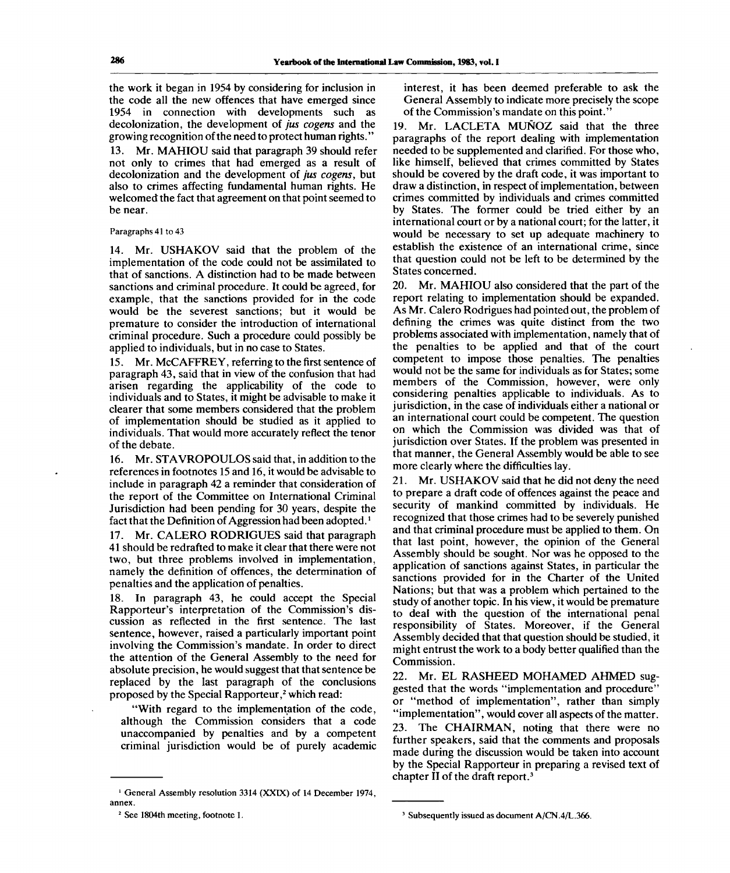the work it began in 1954 by considering for inclusion in the code all the new offences that have emerged since 1954 in connection with developments such as decolonization, the development of *jus cogens* and the growing recognition of the need to protect human rights."

13. Mr. MAHIOU said that paragraph 39 should refer not only to crimes that had emerged as a result of decolonization and the development of *jus cogens,* but also to crimes affecting fundamental human rights. He welcomed the fact that agreement on that point seemed to be near.

Paragraphs 41 to 43

14. Mr. USHAKOV said that the problem of the implementation of the code could not be assimilated to that of sanctions. A distinction had to be made between sanctions and criminal procedure. It could be agreed, for example, that the sanctions provided for in the code would be the severest sanctions; but it would be premature to consider the introduction of international criminal procedure. Such a procedure could possibly be applied to individuals, but in no case to States.

15. Mr. McCAFFREY, referring to the first sentence of paragraph 43, said that in view of the confusion that had arisen regarding the applicability of the code to individuals and to States, it might be advisable to make it clearer that some members considered that the problem of implementation should be studied as it applied to individuals. That would more accurately reflect the tenor of the debate.

16. Mr. STAVROPOULOS said that, in addition to the references in footnotes 15 and 16, it would be advisable to include in paragraph 42 a reminder that consideration of the report of the Committee on International Criminal Jurisdiction had been pending for 30 years, despite the fact that the Definition of Aggression had been adopted.*<sup>l</sup>*

17. Mr. CALERO RODRIGUES said that paragraph 41 should be redrafted to make it clear that there were not two, but three problems involved in implementation, namely the definition of offences, the determination of penalties and the application of penalties.

18. In paragraph 43, he could accept the Special Rapporteur's interpretation of the Commission's discussion as reflected in the first sentence. The last sentence, however, raised a particularly important point involving the Commission's mandate. In order to direct the attention of the General Assembly to the need for absolute precision, he would suggest that that sentence be replaced by the last paragraph of the conclusions proposed by the Special Rapporteur,<sup>2</sup> which read:

"With regard to the implementation of the code, although the Commission considers that a code unaccompanied by penalties and by a competent criminal jurisdiction would be of purely academic interest, it has been deemed preferable to ask the General Assembly to indicate more precisely the scope of the Commission's mandate on this point."

19. Mr. LACLETA MUNOZ said that the three paragraphs of the report dealing with implementation needed to be supplemented and clarified. For those who, like himself, believed that crimes committed by States should be covered by the draft code, it was important to draw a distinction, in respect of implementation, between crimes committed by individuals and crimes committed by States. The former could be tried either by an international court or by a national court; for the latter, it would be necessary to set up adequate machinery to establish the existence of an international crime, since that question could not be left to be determined by the States concerned.

20. Mr. MAHIOU also considered that the part of the report relating to implementation should be expanded. As Mr. Calero Rodrigues had pointed out, the problem of defining the crimes was quite distinct from the two problems associated with implementation, namely that of the penalties to be applied and that of the court competent to impose those penalties. The penalties would not be the same for individuals as for States; some members of the Commission, however, were only considering penalties applicable to individuals. As to jurisdiction, in the case of individuals either a national or an international court could be competent. The question on which the Commission was divided was that of jurisdiction over States. If the problem was presented in that manner, the General Assembly would be able to see more clearly where the difficulties lay.

21. Mr. USHAKOV said that he did not deny the need to prepare a draft code of offences against the peace and security of mankind committed by individuals. He recognized that those crimes had to be severely punished and that criminal procedure must be applied to them. On that last point, however, the opinion of the General Assembly should be sought. Nor was he opposed to the application of sanctions against States, in particular the sanctions provided for in the Charter of the United Nations; but that was a problem which pertained to the study of another topic. In his view, it would be premature to deal with the question of the international penal responsibility of States. Moreover, if the General Assembly decided that that question should be studied, it might entrust the work to a body better qualified than the Commission.

22. Mr. EL RASHEED MOHAMED AHMED suggested that the words "implementation and procedure" or "method of implementation", rather than simply "implementation", would cover all aspects of the matter. 23. The CHAIRMAN, noting that there were no further speakers, said that the comments and proposals made during the discussion would be taken into account by the Special Rapporteur in preparing a revised text of chapter II of the draft report.<sup>3</sup>

<sup>&</sup>lt;sup>1</sup> General Assembly resolution 3314 (XXIX) of 14 December 1974, annex.

<sup>&</sup>lt;sup>2</sup> See 1804th meeting, footnote 1.

<sup>3</sup> Subsequently issued as document A/CN.4/L.366.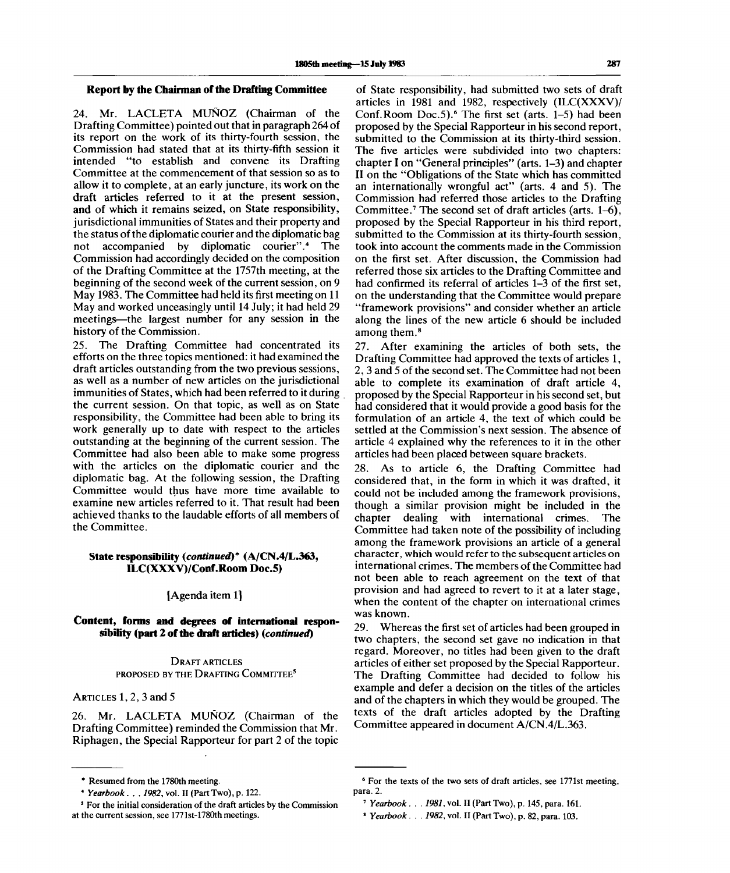# **Report by the Chairman of the Drafting Committee**

24. Mr. LACLETA MUNOZ (Chairman of the Drafting Committee) pointed out that in paragraph 264 of its report on the work of its thirty-fourth session, the Commission had stated that at its thirty-fifth session it intended "to establish and convene its Drafting Committee at the commencement of that session so as to allow it to complete, at an early juncture, its work on the draft articles referred to it at the present session, and of which it remains seized, on State responsibility, jurisdictional immunities of States and their property and the status of the diplomatic courier and the diplomatic bag not accompanied by diplomatic courier".<sup>4</sup> The Commission had accordingly decided on the composition of the Drafting Committee at the 1757th meeting, at the beginning of the second week of the current session, on 9 May 1983. The Committee had held its first meeting on 11 May and worked unceasingly until 14 July; it had held 29 meetings—the largest number for any session in the history of the Commission.

25. The Drafting Committee had concentrated its efforts on the three topics mentioned: it had examined the draft articles outstanding from the two previous sessions, as well as a number of new articles on the jurisdictional immunities of States, which had been referred to it during the current session. On that topic, as well as on State responsibility, the Committee had been able to bring its work generally up to date with respect to the articles outstanding at the beginning of the current session. The Committee had also been able to make some progress with the articles on the diplomatic courier and the diplomatic bag. At the following session, the Drafting Committee would thus have more time available to examine new articles referred to it. That result had been achieved thanks to the laudable efforts of all members of the Committee.

# **State responsibility** *(continued)\** **(A/CN.4/L.363, ILC(XXXV)/Conf.Room Doc.5)**

# [Agenda item 1]

# **Content, forms and degrees of international responsibility (part 2 of the draft articles)** *(continued)*

DRAFT ARTICLES PROPOSED BY THE DRAFTING COMMITTEE<sup>5</sup>

ARTICLES 1, 2, 3 and 5

26. Mr. LACLETA MUNOZ (Chairman of the Drafting Committee) reminded the Commission that Mr. Riphagen, the Special Rapporteur for part 2 of the topic

of State responsibility, had submitted two sets of draft articles in 1981 and 1982, respectively (ILC(XXXV)/  $Contor$  and  $Ior$  and  $Ior$  are  $Ior$  and  $Ior$  are  $Ior$  and  $Ior$  and  $Ior$  and  $Ior$  and  $Ior$  and  $Ior$  and  $Ior$  and  $Ior$  and  $Ior$  and  $Ior$  and  $Ior$  and  $Ior$  and  $Ior$  and  $Ior$  and  $Ior$  and  $Ior$  and  $Ior$  and  $Ior$  and  $Ior$  and  $Ior$  proposed by the Special Rapporteur in his second report, submitted to the Commission at its thirty-third session. The five articles were subdivided into two chapters: chapter I on "General principles" (arts. 1-3) and chapter II on the "Obligations of the State which has committed an internationally wrongful act" (arts. 4 and 5). The Commission had referred those articles to the Drafting Committee.<sup>7</sup> The second set of draft articles (arts. 1-6), proposed by the Special Rapporteur in his third report, submitted to the Commission at its thirty-fourth session, took into account the comments made in the Commission on the first set. After discussion, the Commission had referred those six articles to the Drafting Committee and had confirmed its referral of articles 1–3 of the first set, on the understanding that the Committee would prepare "framework provisions" and consider whether an article along the lines of the new article 6 should be included among them.<sup>8</sup>

27. After examining the articles of both sets, the Drafting Committee had approved the texts of articles 1, 2, 3 and 5 of the second set. The Committee had not been able to complete its examination of draft article 4, proposed by the Special Rapporteur in his second set, but had considered that it would provide a good basis for the formulation of an article 4, the text of which could be settled at the Commission's next session. The absence of article 4 explained why the references to it in the other articles had been placed between square brackets.

28. As to article 6, the Drafting Committee had considered that, in the form in which it was drafted, it could not be included among the framework provisions, though a similar provision might be included in the chapter dealing with international crimes. The Committee had taken note of the possibility of including among the framework provisions an article of a general character, which would refer to the subsequent articles on international crimes. The members of the Committee had not been able to reach agreement on the text of that provision and had agreed to revert to it at a later stage, when the content of the chapter on international crimes was known.

29. Whereas the first set of articles had been grouped in two chapters, the second set gave no indication in that regard. Moreover, no titles had been given to the draft articles of either set proposed by the Special Rapporteur. The Drafting Committee had decided to follow his example and defer a decision on the titles of the articles and of the chapters in which they would be grouped. The texts of the draft articles adopted by the Drafting Committee appeared in document A/CN.4/L.363.

<sup>\*</sup> Resumed from the 1780th meeting.

*<sup>\*</sup> Yearbook. . . 1982,* vol. II (Part Two), p. 122.

<sup>5</sup> For the initial consideration of the draft articles by the Commission at the current session, see 1771st-178Oth meetings.

<sup>6</sup> For the texts of the two sets of draft articles, see 1771st meeting, para. 2.

<sup>7</sup>  *Yearbook. . . 1981,* vol. II (Part Two), p. 145, para. 161.

<sup>8</sup>  *Yearbook. . . 1982,* vol. II (Part Two), p. 82, para. 103.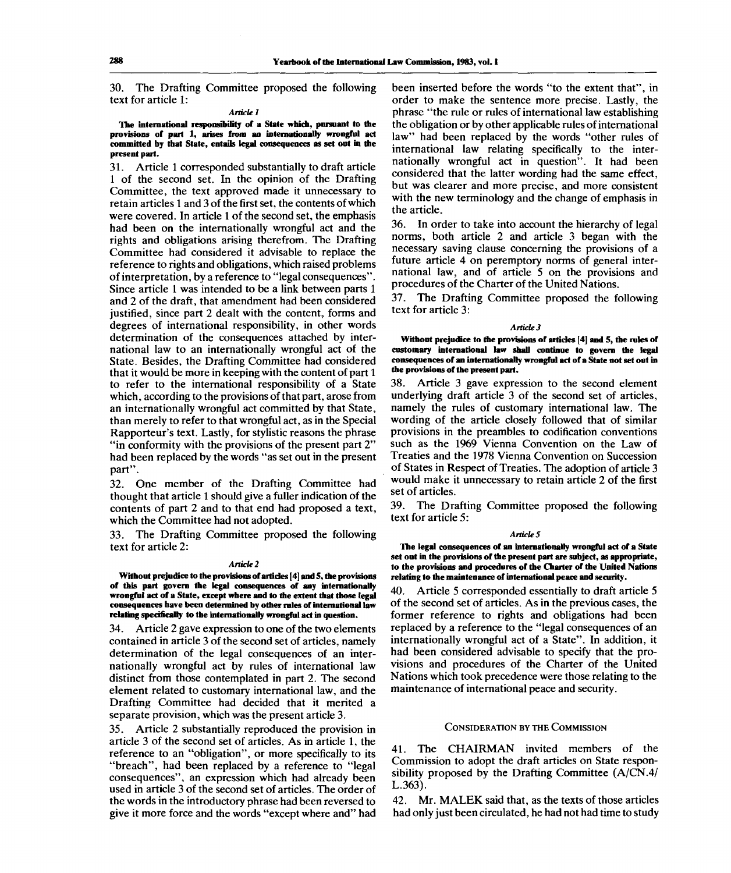30. The Drafting Committee proposed the following text for article 1:

#### *Article 1*

**The international responsibility of a State which, pursuant to the provisions of part 1, arises from an internationally wrongful act committed by that State, entails legal consequences as set out in the present part.**

31. Article 1 corresponded substantially to draft article 1 of the second set. In the opinion of the Drafting Committee, the text approved made it unnecessary to retain articles 1 and 3 of the first set, the contents of which were covered. In article 1 of the second set, the emphasis had been on the internationally wrongful act and the rights and obligations arising therefrom. The Drafting Committee had considered it advisable to replace the reference to rights and obligations, which raised problems of interpretation, by a reference to "legal consequences". Since article 1 was intended to be a link between parts 1 and 2 of the draft, that amendment had been considered justified, since part 2 dealt with the content, forms and degrees of international responsibility, in other words determination of the consequences attached by international law to an internationally wrongful act of the State. Besides, the Drafting Committee had considered that it would be more in keeping with the content of part 1 to refer to the international responsibility of a State which, according to the provisions of that part, arose from an internationally wrongful act committed by that State, than merely to refer to that wrongful act, as in the Special Rapporteur's text. Lastly, for stylistic reasons the phrase "in conformity with the provisions of the present part 2" had been replaced by the words "as set out in the present part".

32. One member of the Drafting Committee had thought that article 1 should give a fuller indication of the contents of part 2 and to that end had proposed a text, which the Committee had not adopted.

The Drafting Committee proposed the following text for article 2:

#### *Article 2*

**Without prejudice to the provisions of articles [4] and 5, the provisions of this part govern the legal consequences of any internationally wrongful act of a State, except where and to the extent that those legal consequences have been determined by other rules of international law relating specifically to the internationally wrongful act in question.**

34. Article 2 gave expression to one of the two elements contained in article 3 of the second set of articles, namely determination of the legal consequences of an internationally wrongful act by rules of international law distinct from those contemplated in part 2. The second element related to customary international law, and the Drafting Committee had decided that it merited a separate provision, which was the present article 3.

35. Article 2 substantially reproduced the provision in article 3 of the second set of articles. As in article 1, the reference to an "obligation", or more specifically to its "breach", had been replaced by a reference to "legal consequences", an expression which had already been used in article 3 of the second set of articles. The order of the words in the introductory phrase had been reversed to give it more force and the words "except where and" had been inserted before the words "to the extent that", in order to make the sentence more precise. Lastly, the phrase "the rule or rules of international law establishing the obligation or by other applicable rules of international law" had been replaced by the words "other rules of international law relating specifically to the internationally wrongful act in question". It had been considered that the latter wording had the same effect, but was clearer and more precise, and more consistent with the new terminology and the change of emphasis in the article.

36. In order to take into account the hierarchy of legal norms, both article 2 and article 3 began with the necessary saving clause concerning the provisions of a future article 4 on peremptory norms of general international law, and of article 5 on the provisions and procedures of the Charter of the United Nations.

37. The Drafting Committee proposed the following text for article 3:

#### *Article 3*

**Without prejudice to the provisions of articles [4] and 5, the rules of customary international law shall continue to govern the legal consequences of an internationally wrongful act of a State not set out in the provisions of the present part.**

38. Article 3 gave expression to the second element underlying draft article 3 of the second set of articles, namely the rules of customary international law. The wording of the article closely followed that of similar provisions in the preambles to codification conventions such as the 1969 Vienna Convention on the Law of Treaties and the 1978 Vienna Convention on Succession of States in Respect of Treaties. The adoption of article 3 would make it unnecessary to retain article 2 of the first set of articles.

39. The Drafting Committee proposed the following text for article 5:

#### *Articles*

**The legal consequences of an internationally wrongful act of a State set out in the provisions of the present part are subject, as appropriate, to the provisions and procedures of the Charter of the United Nations relating to the maintenance of international peace and security.**

40. Article 5 corresponded essentially to draft article 5 of the second set of articles. As in the previous cases, the former reference to rights and obligations had been replaced by a reference to the "legal consequences of an internationally wrongful act of a State". In addition, it had been considered advisable to specify that the provisions and procedures of the Charter of the United Nations which took precedence were those relating to the maintenance of international peace and security.

#### CONSIDERATION BY THE COMMISSION

41. The CHAIRMAN invited members of the Commission to adopt the draft articles on State responsibility proposed by the Drafting Committee (A/CN.4/ L.363).

42. Mr. MALEK said that, as the texts of those articles had only just been circulated, he had not had time to study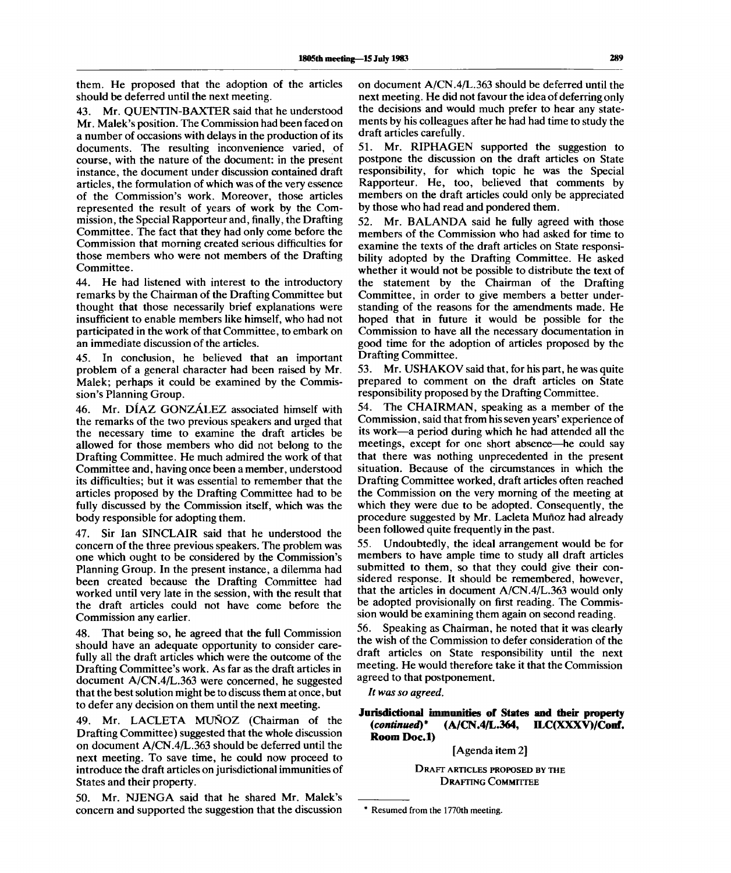them. He proposed that the adoption of the articles should be deferred until the next meeting.

43. Mr. QUENTIN-BAXTER said that he understood Mr. Malek's position. The Commission had been faced on a number of occasions with delays in the production of its documents. The resulting inconvenience varied, of course, with the nature of the document: in the present instance, the document under discussion contained draft articles, the formulation of which was of the very essence of the Commission's work. Moreover, those articles represented the result of years of work by the Commission, the Special Rapporteur and, finally, the Drafting Committee. The fact that they had only come before the Commission that morning created serious difficulties for those members who were not members of the Drafting Committee.

44. He had listened with interest to the introductory remarks by the Chairman of the Drafting Committee but thought that those necessarily brief explanations were insufficient to enable members like himself, who had not participated in the work of that Committee, to embark on an immediate discussion of the articles.

In conclusion, he believed that an important problem of a general character had been raised by Mr. Malek; perhaps it could be examined by the Commission's Planning Group.

46. Mr. DIAZ GONZALEZ associated himself with the remarks of the two previous speakers and urged that the necessary time to examine the draft articles be allowed for those members who did not belong to the Drafting Committee. He much admired the work of that Committee and, having once been a member, understood its difficulties; but it was essential to remember that the articles proposed by the Drafting Committee had to be fully discussed by the Commission itself, which was the body responsible for adopting them.

47. Sir Ian SINCLAIR said that he understood the concern of the three previous speakers. The problem was one which ought to be considered by the Commission's Planning Group. In the present instance, a dilemma had been created because the Drafting Committee had worked until very late in the session, with the result that the draft articles could not have come before the Commission any earlier.

48. That being so, he agreed that the full Commission should have an adequate opportunity to consider carefully all the draft articles which were the outcome of the Drafting Committee's work. As far as the draft articles in document A/CN.4/L.363 were concerned, he suggested that the best solution might be to discuss them at once, but to defer any decision on them until the next meeting.

49. Mr. LACLETA MUNOZ (Chairman of the Drafting Committee) suggested that the whole discussion on document A/CN.4/L.363 should be deferred until the next meeting. To save time, he could now proceed to introduce the draft articles on jurisdictional immunities of States and their property.

50. Mr. NJENGA said that he shared Mr. Malek's concern and supported the suggestion that the discussion on document A/CN.4/L.363 should be deferred until the next meeting. He did not favour the idea of deferring only the decisions and would much prefer to hear any statements by his colleagues after he had had time to study the draft articles carefully.

51. Mr. RIPHAGEN supported the suggestion to postpone the discussion on the draft articles on State responsibility, for which topic he was the Special Rapporteur. He, too, believed that comments by members on the draft articles could only be appreciated by those who had read and pondered them.

52. Mr. BALANDA said he fully agreed with those members of the Commission who had asked for time to examine the texts of the draft articles on State responsibility adopted by the Drafting Committee. He asked whether it would not be possible to distribute the text of the statement by the Chairman of the Drafting Committee, in order to give members a better understanding of the reasons for the amendments made. He hoped that in future it would be possible for the Commission to have all the necessary documentation in good time for the adoption of articles proposed by the Drafting Committee.

53. Mr. USHAKOV said that, for his part, he was quite prepared to comment on the draft articles on State responsibility proposed by the Drafting Committee.

54. The CHAIRMAN, speaking as a member of the Commission, said that from his seven years' experience of its work—a period during which he had attended all the meetings, except for one short absence—he could say that there was nothing unprecedented in the present situation. Because of the circumstances in which the Drafting Committee worked, draft articles often reached the Commission on the very morning of the meeting at which they were due to be adopted. Consequently, the procedure suggested by Mr. Lacleta Muñoz had already been followed quite frequently in the past.

55. Undoubtedly, the ideal arrangement would be for members to have ample time to study all draft articles submitted to them, so that they could give their considered response. It should be remembered, however, that the articles in document A/CN.4/L.363 would only be adopted provisionally on first reading. The Commission would be examining them again on second reading.

56. Speaking as Chairman, he noted that it was clearly the wish of the Commission to defer consideration of the draft articles on State responsibility until the next meeting. He would therefore take it that the Commission agreed to that postponement.

*It was so agreed.*

# Jurisdictional immunities of States and their property *{continued)\** **(A/CN.4/L.364, ILC(XXXV)/Conf. Room Doc.l)**

[Agenda item 2]

DRAFT ARTICLES PROPOSED BY THE DRAFTING COMMITTEE

**<sup>\*</sup> Resumed from the 1770th meeting.**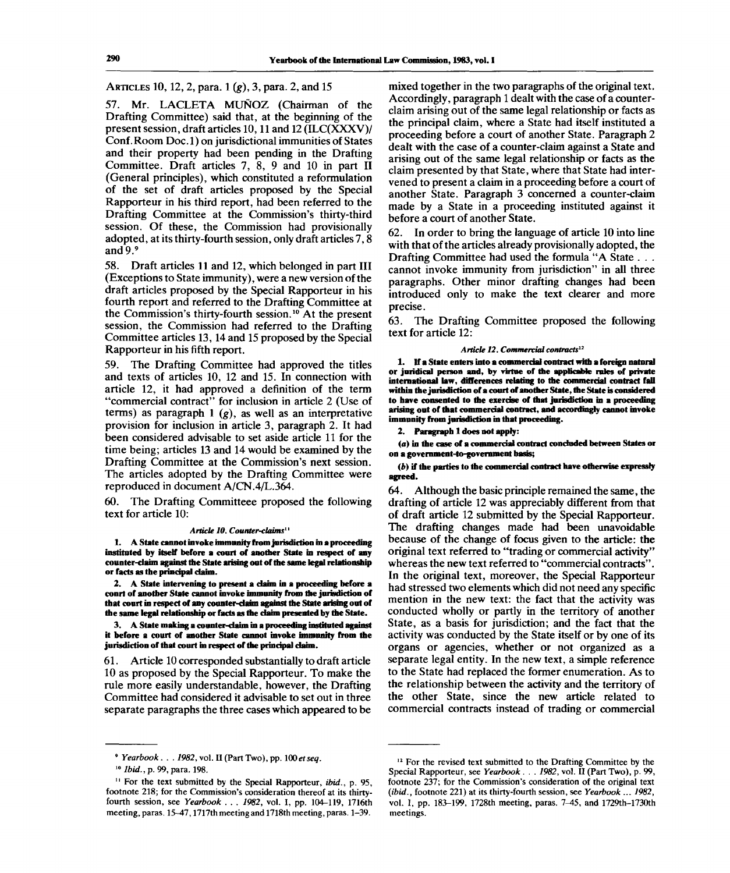# ARTICLES 10, 12, 2, para. 1 (g), 3, para. 2, and 15

57. Mr. LACLETA MUNOZ (Chairman of the Drafting Committee) said that, at the beginning of the present session, draft articles 10,11 and 12 (ILC(XXXV)/ Conf. Room Doc. 1) on jurisdictional immunities of States and their property had been pending in the Drafting Committee. Draft articles 7, 8, 9 and 10 in part II (General principles), which constituted a reformulation of the set of draft articles proposed by the Special Rapporteur in his third report, had been referred to the Drafting Committee at the Commission's thirty-third session. Of these, the Commission had provisionally adopted, at its thirty-fourth session, only draft articles 7,8 and 9.9

58. Draft articles 11 and 12, which belonged in part III (Exceptions to State immunity), were a new version of the draft articles proposed by the Special Rapporteur in his fourth report and referred to the Drafting Committee at the Commission's thirty-fourth session.<sup>10</sup> At the present session, the Commission had referred to the Drafting Committee articles 13,14 and 15 proposed by the Special Rapporteur in his fifth report.

59. The Drafting Committee had approved the titles and texts of articles 10, 12 and 15. In connection with article 12, it had approved a definition of the term "commercial contract" for inclusion in article 2 (Use of terms) as paragraph 1 *(g),* as well as an interpretative provision for inclusion in article 3, paragraph 2. It had been considered advisable to set aside article 11 for the time being; articles 13 and 14 would be examined by the Drafting Committee at the Commission's next session. The articles adopted by the Drafting Committee were reproduced in document A/CN.4/L.364.

60. The Drafting Committeee proposed the following text for article 10:

#### *Article 10. Counter-claims<sup>11</sup>*

**1. A State cannot invoke immunity from jurisdiction in a proceeding instituted by itself before a court of another State in respect of any counter-claim against the State arising out of the same legal relationship or facts as the principal daim.**

**2. A State intervening to present a daim in a proceeding before a court of another State cannot invoke immunity from the jurisdiction of that court in respect of any counter-dahn against the State arising out of the same legal relationship or facts as the daim presented by the State.**

**3. A State making a counter-dahn in a proceeding instituted against it before a court of another State cannot invoke immunity from the jurisdiction of that court in respect of the principal daim.**

61. Article 10 corresponded substantially to draft article 10 as proposed by the Special Rapporteur. To make the rule more easily understandable, however, the Drafting Committee had considered it advisable to set out in three separate paragraphs the three cases which appeared to be mixed together in the two paragraphs of the original text. Accordingly, paragraph 1 dealt with the case of a counterclaim arising out of the same legal relationship or facts as the principal claim, where a State had itself instituted a proceeding before a court of another State. Paragraph 2 dealt with the case of a counter-claim against a State and arising out of the same legal relationship or facts as the claim presented by that State, where that State had intervened to present a claim in a proceeding before a court of another State. Paragraph 3 concerned a counter-claim made by a State in a proceeding instituted against it before a court of another State.

62. In order to bring the language of article 10 into line with that of the articles already provisionally adopted, the Drafting Committee had used the formula "A State . . . cannot invoke immunity from jurisdiction" in all three paragraphs. Other minor drafting changes had been introduced only to make the text clearer and more precise.

63. The Drafting Committee proposed the following text for article 12:

#### *Article 12. Commercial contracts<sup>12</sup>*

**1. If a State enters into a commercial contract with a foreign natural or juridical person and, by virtue of die applicable rules of private international law, differences relating to the commercial contract fall within the jurisdiction of a court of another State, the State is considered to have consented to the exercise of that jurisdiction in a proceeding arising out of that commercial contract, and accordingly cannot invoke immunity from jurisdiction in that proceeding.**

**2. Paragraph 1 does not apply:**

*(a)* **in the case of a commercial contract concluded between States or on a government-to-government basis;**

*(b)* **if the parties to the commercial contract have otherwise expressly agreed.**

64. Although the basic principle remained the same, the drafting of article 12 was appreciably different from that of draft article 12 submitted by the Special Rapporteur. The drafting changes made had been unavoidable because of the change of focus given to the article: the original text referred to "trading or commercial activity" whereas the new text referred to "commercial contracts". In the original text, moreover, the Special Rapporteur had stressed two elements which did not need any specific mention in the new text: the fact that the activity was conducted wholly or partly in the territory of another State, as a basis for jurisdiction; and the fact that the activity was conducted by the State itself or by one of its organs or agencies, whether or not organized as a separate legal entity. In the new text, a simple reference to the State had replaced the former enumeration. As to the relationship between the activity and the territory of the other State, since the new article related to commercial contracts instead of trading or commercial

*<sup>9</sup> Yearbook. . . 1982,* vol. II (Part Two), pp. 100 *etseq.*

<sup>10</sup>  *Ibid.,* p. 99, para. 198.

<sup>11</sup> For the text submitted by the Special Rapporteur, *ibid.,* p. 95, footnote 218; for the Commission's consideration thereof at its thirtyfourth session, see *Yearbook . . . 1982,* vol. I, pp. 104-119, 1716th meeting, paras. 15-47,1717th meeting and 1718th meeting, paras. 1-39.

<sup>&</sup>lt;sup>12</sup> For the revised text submitted to the Drafting Committee by the Special Rapporteur, see *Yearbook. . . 1982,* vol. II (Part Two), p. 99, footnote 237; for the Commission's consideration of the original text *(ibid.,* footnote 221) at its thirty-fourth session, see *Yearbook* ... *1982,* vol. I, pp. 183-199, 1728th meeting, paras. 7-45, and 1729th-1730th meetings.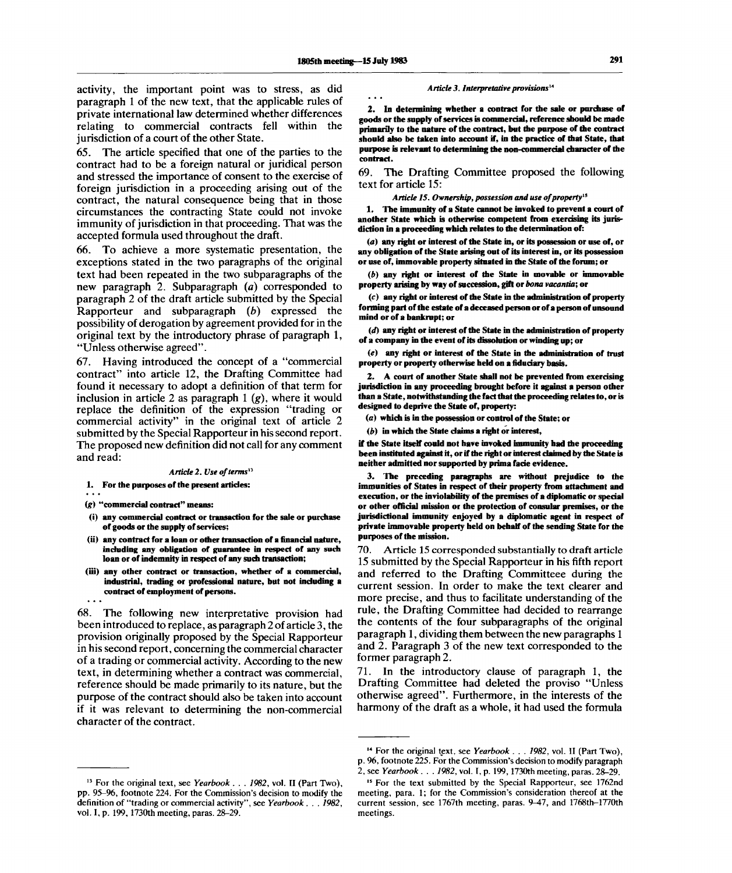activity, the important point was to stress, as did paragraph 1 of the new text, that the applicable rules of private international law determined whether differences relating to commercial contracts fell within the jurisdiction of a court of the other State.

65. The article specified that one of the parties to the contract had to be a foreign natural or juridical person and stressed the importance of consent to the exercise of foreign jurisdiction in a proceeding arising out of the contract, the natural consequence being that in those circumstances the contracting State could not invoke immunity of jurisdiction in that proceeding. That was the accepted formula used throughout the draft.

66. To achieve a more systematic presentation, the exceptions stated in the two paragraphs of the original text had been repeated in the two subparagraphs of the new paragraph 2. Subparagraph *(a)* corresponded to paragraph 2 of the draft article submitted by the Special Rapporteur and subparagraph *(b)* expressed the possibility of derogation by agreement provided for in the original text by the introductory phrase of paragraph 1, "Unless otherwise agreed".

67. Having introduced the concept of a "commercial contract" into article 12, the Drafting Committee had found it necessary to adopt a definition of that term for inclusion in article 2 as paragraph 1 *(g),* where it would replace the definition of the expression "trading or commercial activity" in the original text of article 2 submitted by the Special Rapporteur in his second report. The proposed new definition did not call for any comment and read:

#### *Article 2. Use of terms"*

**1. For the purposes of the present articles:**

*(g)* **"commercial contract" means:**

- **(i) any commercial contract or transaction for the sale or purchase of goods or the supply of services;**
- **(ii) any contract for a loan or other transaction of a financial nature, including any obligation of guarantee in respect of any such loan or of indemnity in respect of any such transaction;**
- **(iii) any other contract or transaction, whether of a commercial, industrial, trading or professional nature, but not including a contract of employment of persons.**

68. The following new interpretative provision had been introduced to replace, as paragraph 2 of article 3, the provision originally proposed by the Special Rapporteur in his second report, concerning the commercial character of a trading or commercial activity. According to the new text, in determining whether a contract was commercial, reference should be made primarily to its nature, but the purpose of the contract should also be taken into account if it was relevant to determining the non-commercial character of the contract.

*Article 3. Interpretative provisions<sup>14</sup>*

**2. In determining whether a contract for the sale or purchase of goods or the supply of services is commercial, reference should be made primarily to the nature of the contract, but the purpose of the contract should also be taken into account if, in the practice of that State, that purpose is relevant to determining the non-commercial character of the contract.**

69. The Drafting Committee proposed the following text for article 15:

*Article 15. Ownership, possession and use of property<sup>15</sup>*

**1. The immunity of a State cannot be invoked to prevent a court of another State which is otherwise competent from exercising its jurisdiction in a proceeding which relates to the determination of:**

*(a)* **any right or interest of the State in, or its possession or use of, or any obligation of the State arising out of its interest in, or its possession or use of, immovable property situated in the State of the forum; or**

*(b)* **any right or interest of the State in movable or immovable property arising by way of succession, gift or** *bona vacantia;* **or**

**(c) any right or interest of the State in the administration of property forming part of the estate of a deceased person or of a person of unsound mind or of a bankrupt; or**

*{d)* **any right or interest of the State in the administration of property of a company in the event of its dissolution or winding up; or**

*(e)* **any right or interest of the State in the administration of trust property or property otherwise held on a fiduciary basis.**

**2. A court of another State shall not be prevented from exercising jurisdiction in any proceeding brought before it against a person other than a State, notwithstanding the fact that the proceeding relates to, or is designed to deprive the State of, property:**

*(a)* **which is in the possession or control of the State; or**

*(b)* **in which the State claims a right or interest,**

**if the State itself could not have invoked immunity had the proceeding been instituted against it, or if the right or interest claimed by the State is neither admitted nor supported by prima fade evidence.**

**3. The preceding paragraphs are without prejudice to the immunities of States in respect of their property from attachment and execution, or the inviolability of the premises of a diplomatic or special or other official mission or the protection of consular premises, or the jurisdictional immunity enjoyed by a diplomatic agent in respect of private immovable property held on behalf of the sending State for the purposes of the mission.**

70. Article 15 corresponded substantially to draft article 15 submitted by the Special Rapporteur in his fifth report and referred to the Drafting Committeee during the current session. In order to make the text clearer and more precise, and thus to facilitate understanding of the rule, the Drafting Committee had decided to rearrange the contents of the four subparagraphs of the original paragraph 1, dividing them between the new paragraphs 1 and 2. Paragraph 3 of the new text corresponded to the former paragraph 2.

71. In the introductory clause of paragraph 1, the Drafting Committee had deleted the proviso "Unless otherwise agreed". Furthermore, in the interests of the harmony of the draft as a whole, it had used the formula

<sup>&</sup>lt;sup>13</sup> For the original text, see Yearbook . . . 1982, vol. II (Part Two), pp. 95-96, footnote 224. For the Commission's decision to modify the definition of "trading or commercial activity", see *Yearbook . . . 1982,* vol. I, p. 199, 1730th meeting, paras. 28-29.

<sup>14</sup> For the original text, see *Yearbook . . . 1982,* vol. II (Part Two), p. 96, footnote 225. For the Commission's decision to modify paragraph 2, see *Yearbook. . . 1982,* vol. I, p. 199,1730th meeting, paras. 28-29.

<sup>&</sup>lt;sup>15</sup> For the text submitted by the Special Rapporteur, see 1762nd meeting, para. 1; for the Commission's consideration thereof at the current session, see 1767th meeting, paras. 9-47, and 1768th-1770th meetings.